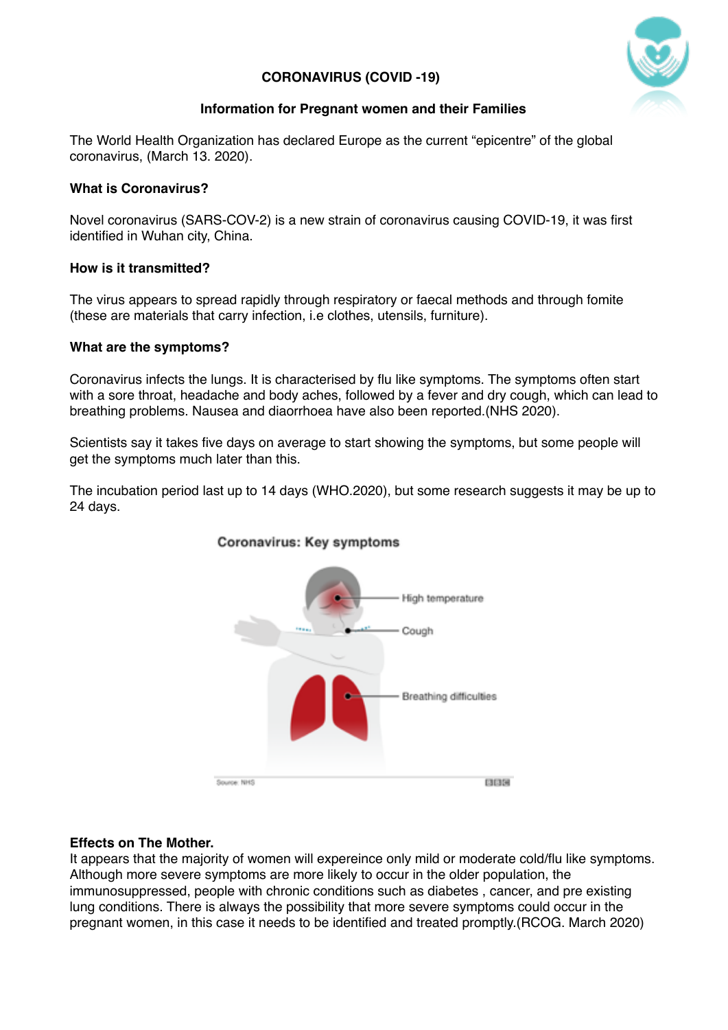# **CORONAVIRUS (COVID -19)**



# **Information for Pregnant women and their Families**

The World Health Organization has declared Europe as the current "epicentre" of the global coronavirus, (March 13. 2020).

## **What is Coronavirus?**

Novel coronavirus (SARS-COV-2) is a new strain of coronavirus causing COVID-19, it was first identified in Wuhan city, China.

# **How is it transmitted?**

The virus appears to spread rapidly through respiratory or faecal methods and through fomite (these are materials that carry infection, i.e clothes, utensils, furniture).

# **What are the symptoms?**

Coronavirus infects the lungs. It is characterised by flu like symptoms. The symptoms often start with a sore throat, headache and body aches, followed by a fever and dry cough, which can lead to breathing problems. Nausea and diaorrhoea have also been reported.(NHS 2020).

Scientists say it takes five days on average to start showing the symptoms, but some people will get the symptoms much later than this.

The incubation period last up to 14 days (WHO.2020), but some research suggests it may be up to 24 days.



# Coronavirus: Key symptoms

## **Effects on The Mother.**

It appears that the majority of women will expereince only mild or moderate cold/flu like symptoms. Although more severe symptoms are more likely to occur in the older population, the immunosuppressed, people with chronic conditions such as diabetes , cancer, and pre existing lung conditions. There is always the possibility that more severe symptoms could occur in the pregnant women, in this case it needs to be identified and treated promptly.(RCOG. March 2020)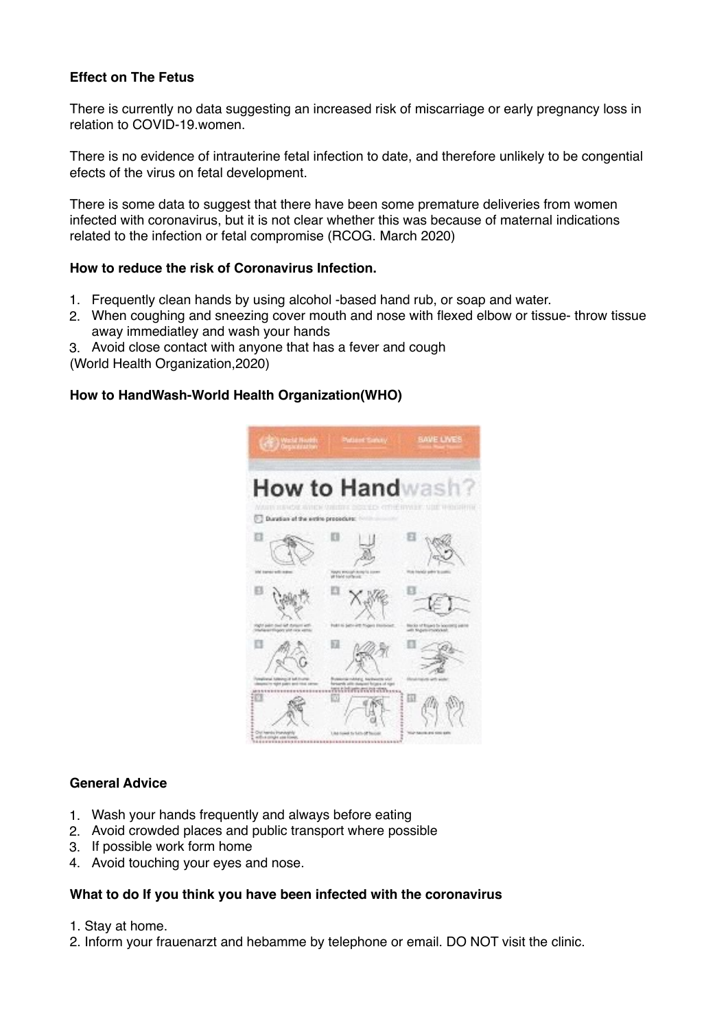# **Effect on The Fetus**

There is currently no data suggesting an increased risk of miscarriage or early pregnancy loss in relation to COVID-19.women.

There is no evidence of intrauterine fetal infection to date, and therefore unlikely to be congential efects of the virus on fetal development.

There is some data to suggest that there have been some premature deliveries from women infected with coronavirus, but it is not clear whether this was because of maternal indications related to the infection or fetal compromise (RCOG. March 2020)

### **How to reduce the risk of Coronavirus Infection.**

- 1. Frequently clean hands by using alcohol -based hand rub, or soap and water.
- 2. When coughing and sneezing cover mouth and nose with flexed elbow or tissue- throw tissue away immediatley and wash your hands
- 3. Avoid close contact with anyone that has a fever and cough

(World Health Organization,2020)

### **How to HandWash-World Health Organization(WHO)**



#### **General Advice**

- 1. Wash your hands frequently and always before eating
- 2. Avoid crowded places and public transport where possible
- 3. If possible work form home
- 4. Avoid touching your eyes and nose.

### **What to do If you think you have been infected with the coronavirus**

- 1. Stay at home.
- 2. Inform your frauenarzt and hebamme by telephone or email. DO NOT visit the clinic.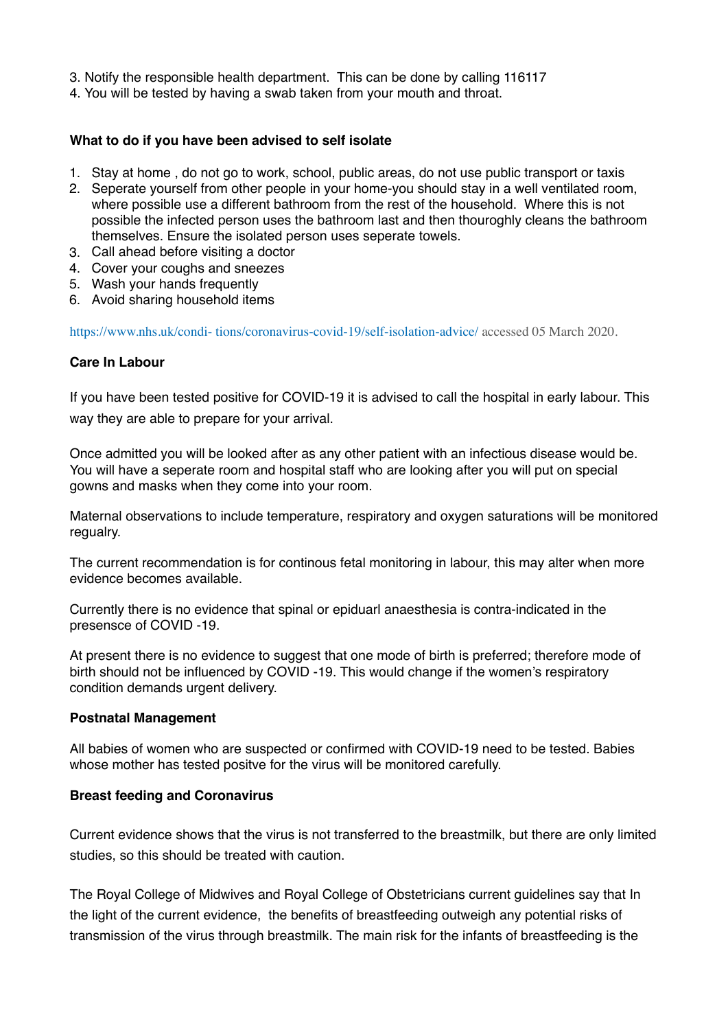- 3. Notify the responsible health department. This can be done by calling 116117
- 4. You will be tested by having a swab taken from your mouth and throat.

### **What to do if you have been advised to self isolate**

- 1. Stay at home , do not go to work, school, public areas, do not use public transport or taxis
- 2. Seperate yourself from other people in your home-you should stay in a well ventilated room, where possible use a different bathroom from the rest of the household. Where this is not possible the infected person uses the bathroom last and then thouroghly cleans the bathroom themselves. Ensure the isolated person uses seperate towels.
- 3. Call ahead before visiting a doctor
- 4. Cover your coughs and sneezes
- 5. Wash your hands frequently
- 6. Avoid sharing household items

https://www.nhs.uk/condi- tions/coronavirus-covid-19/self-isolation-advice/ accessed 05 March 2020.

### **Care In Labour**

If you have been tested positive for COVID-19 it is advised to call the hospital in early labour. This way they are able to prepare for your arrival.

Once admitted you will be looked after as any other patient with an infectious disease would be. You will have a seperate room and hospital staff who are looking after you will put on special gowns and masks when they come into your room.

Maternal observations to include temperature, respiratory and oxygen saturations will be monitored regualry.

The current recommendation is for continous fetal monitoring in labour, this may alter when more evidence becomes available.

Currently there is no evidence that spinal or epiduarl anaesthesia is contra-indicated in the presensce of COVID -19.

At present there is no evidence to suggest that one mode of birth is preferred; therefore mode of birth should not be influenced by COVID -19. This would change if the women's respiratory condition demands urgent delivery.

#### **Postnatal Management**

All babies of women who are suspected or confirmed with COVID-19 need to be tested. Babies whose mother has tested positve for the virus will be monitored carefully.

#### **Breast feeding and Coronavirus**

Current evidence shows that the virus is not transferred to the breastmilk, but there are only limited studies, so this should be treated with caution.

The Royal College of Midwives and Royal College of Obstetricians current guidelines say that In the light of the current evidence, the benefits of breastfeeding outweigh any potential risks of transmission of the virus through breastmilk. The main risk for the infants of breastfeeding is the